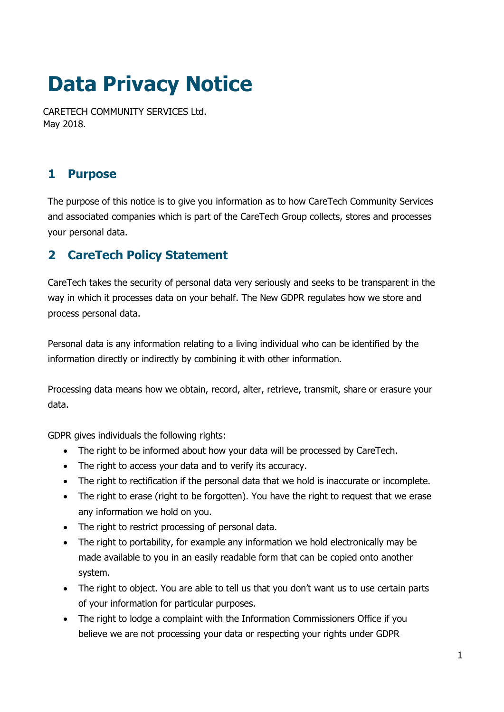# **Data Privacy Notice**

CARETECH COMMUNITY SERVICES Ltd. May 2018.

# **1 Purpose**

The purpose of this notice is to give you information as to how CareTech Community Services and associated companies which is part of the CareTech Group collects, stores and processes your personal data.

# **2 CareTech Policy Statement**

CareTech takes the security of personal data very seriously and seeks to be transparent in the way in which it processes data on your behalf. The New GDPR regulates how we store and process personal data.

Personal data is any information relating to a living individual who can be identified by the information directly or indirectly by combining it with other information.

Processing data means how we obtain, record, alter, retrieve, transmit, share or erasure your data.

GDPR gives individuals the following rights:

- The right to be informed about how your data will be processed by CareTech.
- The right to access your data and to verify its accuracy.
- The right to rectification if the personal data that we hold is inaccurate or incomplete.
- The right to erase (right to be forgotten). You have the right to request that we erase any information we hold on you.
- The right to restrict processing of personal data.
- The right to portability, for example any information we hold electronically may be made available to you in an easily readable form that can be copied onto another system.
- The right to object. You are able to tell us that you don't want us to use certain parts of your information for particular purposes.
- The right to lodge a complaint with the Information Commissioners Office if you believe we are not processing your data or respecting your rights under GDPR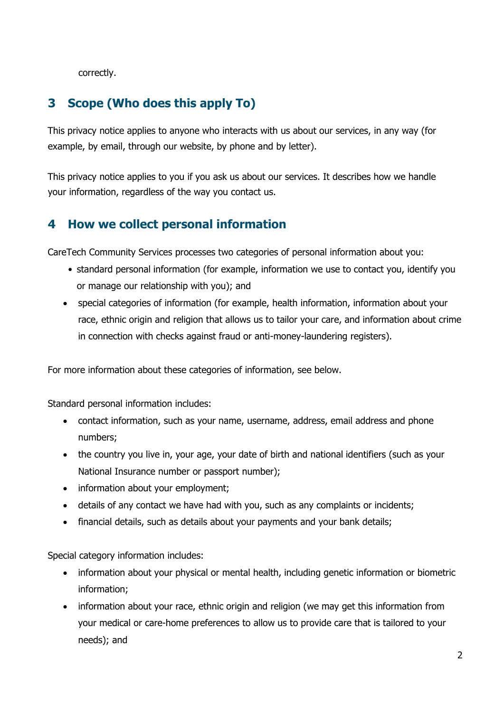correctly.

# **3 Scope (Who does this apply To)**

This privacy notice applies to anyone who interacts with us about our services, in any way (for example, by email, through our website, by phone and by letter).

This privacy notice applies to you if you ask us about our services. It describes how we handle your information, regardless of the way you contact us.

### **4 How we collect personal information**

CareTech Community Services processes two categories of personal information about you:

- standard personal information (for example, information we use to contact you, identify you or manage our relationship with you); and
- special categories of information (for example, health information, information about your race, ethnic origin and religion that allows us to tailor your care, and information about crime in connection with checks against fraud or anti-money-laundering registers).

For more information about these categories of information, see below.

Standard personal information includes:

- contact information, such as your name, username, address, email address and phone numbers;
- the country you live in, your age, your date of birth and national identifiers (such as your National Insurance number or passport number);
- information about your employment;
- details of any contact we have had with you, such as any complaints or incidents;
- financial details, such as details about your payments and your bank details;

Special category information includes:

- information about your physical or mental health, including genetic information or biometric information;
- information about your race, ethnic origin and religion (we may get this information from your medical or care-home preferences to allow us to provide care that is tailored to your needs); and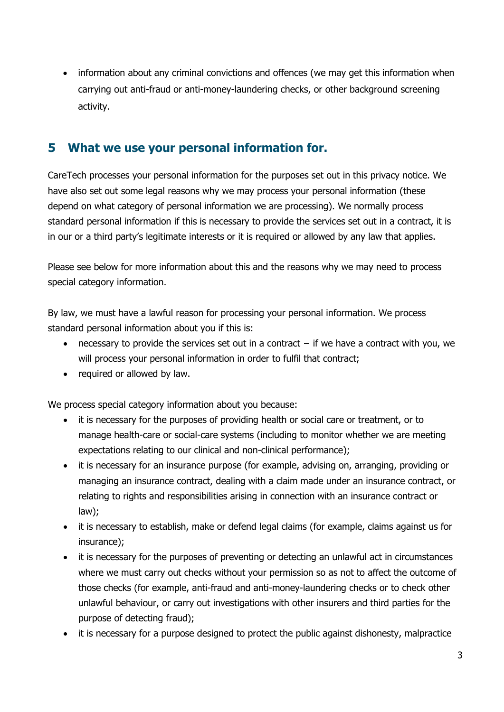• information about any criminal convictions and offences (we may get this information when carrying out anti-fraud or anti-money-laundering checks, or other background screening activity.

#### **5 What we use your personal information for.**

CareTech processes your personal information for the purposes set out in this privacy notice. We have also set out some legal reasons why we may process your personal information (these depend on what category of personal information we are processing). We normally process standard personal information if this is necessary to provide the services set out in a contract, it is in our or a third party's legitimate interests or it is required or allowed by any law that applies.

Please see below for more information about this and the reasons why we may need to process special category information.

By law, we must have a lawful reason for processing your personal information. We process standard personal information about you if this is:

- necessary to provide the services set out in a contract if we have a contract with you, we will process your personal information in order to fulfil that contract;
- required or allowed by law.

We process special category information about you because:

- it is necessary for the purposes of providing health or social care or treatment, or to manage health-care or social-care systems (including to monitor whether we are meeting expectations relating to our clinical and non-clinical performance);
- it is necessary for an insurance purpose (for example, advising on, arranging, providing or managing an insurance contract, dealing with a claim made under an insurance contract, or relating to rights and responsibilities arising in connection with an insurance contract or law);
- it is necessary to establish, make or defend legal claims (for example, claims against us for insurance);
- it is necessary for the purposes of preventing or detecting an unlawful act in circumstances where we must carry out checks without your permission so as not to affect the outcome of those checks (for example, anti-fraud and anti-money-laundering checks or to check other unlawful behaviour, or carry out investigations with other insurers and third parties for the purpose of detecting fraud);
- it is necessary for a purpose designed to protect the public against dishonesty, malpractice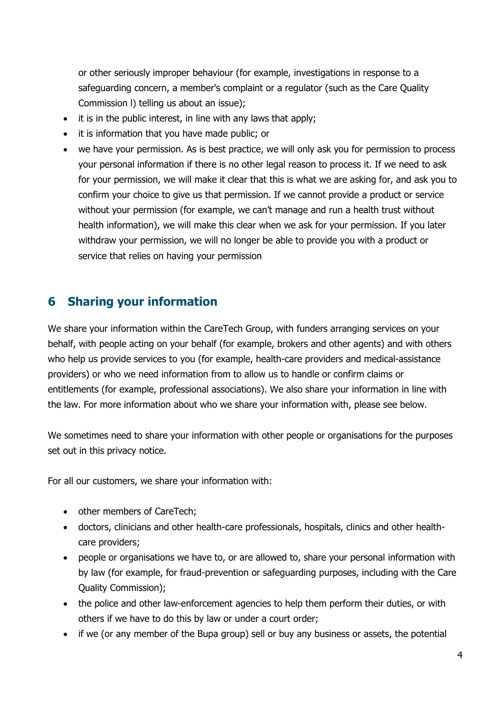or other seriously improper behaviour (for example, investigations in response to a safeguarding concern, a member's complaint or a regulator (such as the Care Quality Commission l) telling us about an issue);

- it is in the public interest, in line with any laws that apply;
- it is information that you have made public; or
- we have your permission. As is best practice, we will only ask you for permission to process your personal information if there is no other legal reason to process it. If we need to ask for your permission, we will make it clear that this is what we are asking for, and ask you to confirm your choice to give us that permission. If we cannot provide a product or service without your permission (for example, we can't manage and run a health trust without health information), we will make this clear when we ask for your permission. If you later withdraw your permission, we will no longer be able to provide you with a product or service that relies on having your permission

#### **6 Sharing your information**

We share your information within the CareTech Group, with funders arranging services on your behalf, with people acting on your behalf (for example, brokers and other agents) and with others who help us provide services to you (for example, health-care providers and medical-assistance providers) or who we need information from to allow us to handle or confirm claims or entitlements (for example, professional associations). We also share your information in line with the law. For more information about who we share your information with, please see below.

We sometimes need to share your information with other people or organisations for the purposes set out in this privacy notice.

For all our customers, we share your information with:

- other members of CareTech;
- doctors, clinicians and other health-care professionals, hospitals, clinics and other healthcare providers;
- people or organisations we have to, or are allowed to, share your personal information with by law (for example, for fraud-prevention or safeguarding purposes, including with the Care Quality Commission);
- the police and other law-enforcement agencies to help them perform their duties, or with others if we have to do this by law or under a court order;
- if we (or any member of the Bupa group) sell or buy any business or assets, the potential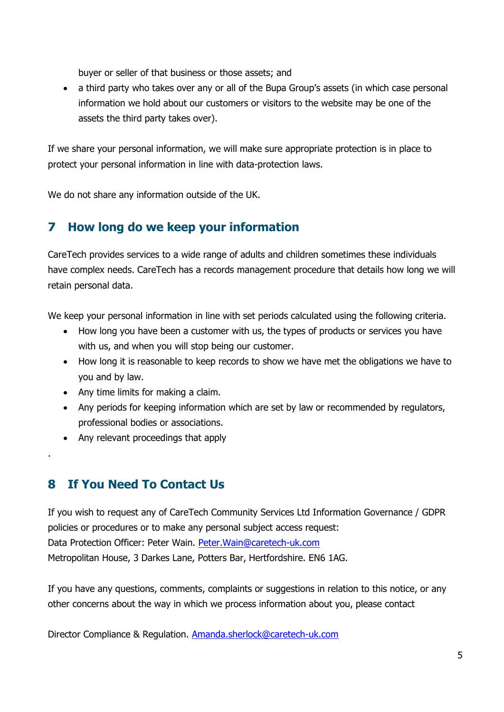buyer or seller of that business or those assets; and

 a third party who takes over any or all of the Bupa Group's assets (in which case personal information we hold about our customers or visitors to the website may be one of the assets the third party takes over).

If we share your personal information, we will make sure appropriate protection is in place to protect your personal information in line with data-protection laws.

We do not share any information outside of the UK.

# **7 How long do we keep your information**

CareTech provides services to a wide range of adults and children sometimes these individuals have complex needs. CareTech has a records management procedure that details how long we will retain personal data.

We keep your personal information in line with set periods calculated using the following criteria.

- How long you have been a customer with us, the types of products or services you have with us, and when you will stop being our customer.
- How long it is reasonable to keep records to show we have met the obligations we have to you and by law.
- Any time limits for making a claim.
- Any periods for keeping information which are set by law or recommended by regulators, professional bodies or associations.
- Any relevant proceedings that apply

### **8 If You Need To Contact Us**

.

If you wish to request any of CareTech Community Services Ltd Information Governance / GDPR policies or procedures or to make any personal subject access request: Data Protection Officer: Peter Wain. [Peter.Wain@caretech-uk.com](mailto:Peter.Wain@caretech-uk.com) Metropolitan House, 3 Darkes Lane, Potters Bar, Hertfordshire. EN6 1AG.

If you have any questions, comments, complaints or suggestions in relation to this notice, or any other concerns about the way in which we process information about you, please contact

Director Compliance & Regulation. [Amanda.sherlock@caretech-uk.com](mailto:Amanda.sherlock@caretech-uk.com)